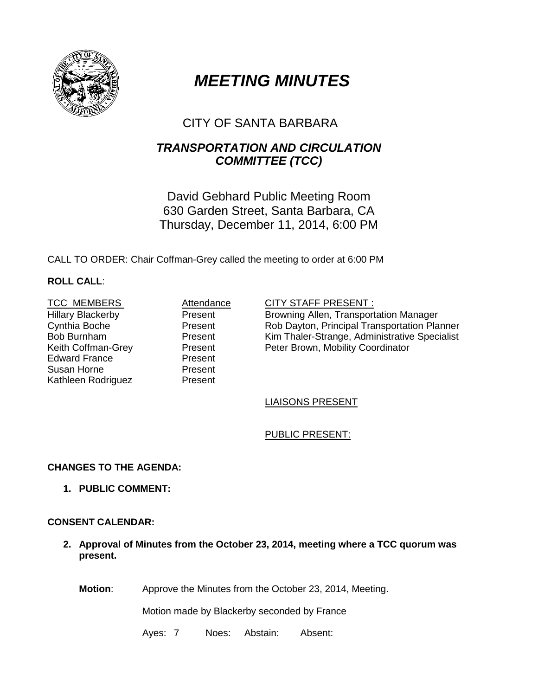

# *MEETING MINUTES*

# CITY OF SANTA BARBARA

# *TRANSPORTATION AND CIRCULATION COMMITTEE (TCC)*

David Gebhard Public Meeting Room 630 Garden Street, Santa Barbara, CA Thursday, December 11, 2014, 6:00 PM

CALL TO ORDER: Chair Coffman-Grey called the meeting to order at 6:00 PM

# **ROLL CALL**:

Hillary Blackerby Cynthia Boche Bob Burnham<br>Keith Coffman-Grey Edward France Susan Horne Kathleen Rodriguez

Present Present Present<br>Present Present Present

#### TCC MEMBERS **Attendance** CITY STAFF PRESENT :

Browning Allen, Transportation Manager Rob Dayton, Principal Transportation Planner Kim Thaler-Strange, Administrative Specialist Present Peter Brown, Mobility Coordinator<br>Present

# LIAISONS PRESENT

# PUBLIC PRESENT:

# **CHANGES TO THE AGENDA:**

**1. PUBLIC COMMENT:**

# **CONSENT CALENDAR:**

**2. Approval of Minutes from the October 23, 2014, meeting where a TCC quorum was present.** 

**Motion**: Approve the Minutes from the October 23, 2014, Meeting.

Motion made by Blackerby seconded by France

Ayes: 7 Noes: Abstain: Absent: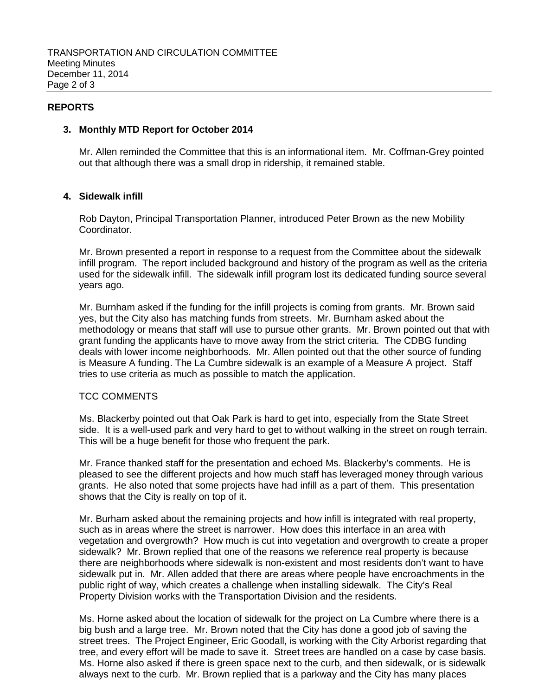### **REPORTS**

#### **3. Monthly MTD Report for October 2014**

Mr. Allen reminded the Committee that this is an informational item. Mr. Coffman-Grey pointed out that although there was a small drop in ridership, it remained stable.

#### **4. Sidewalk infill**

Rob Dayton, Principal Transportation Planner, introduced Peter Brown as the new Mobility Coordinator.

Mr. Brown presented a report in response to a request from the Committee about the sidewalk infill program. The report included background and history of the program as well as the criteria used for the sidewalk infill. The sidewalk infill program lost its dedicated funding source several years ago.

Mr. Burnham asked if the funding for the infill projects is coming from grants. Mr. Brown said yes, but the City also has matching funds from streets. Mr. Burnham asked about the methodology or means that staff will use to pursue other grants. Mr. Brown pointed out that with grant funding the applicants have to move away from the strict criteria. The CDBG funding deals with lower income neighborhoods. Mr. Allen pointed out that the other source of funding is Measure A funding. The La Cumbre sidewalk is an example of a Measure A project. Staff tries to use criteria as much as possible to match the application.

#### TCC COMMENTS

Ms. Blackerby pointed out that Oak Park is hard to get into, especially from the State Street side. It is a well-used park and very hard to get to without walking in the street on rough terrain. This will be a huge benefit for those who frequent the park.

Mr. France thanked staff for the presentation and echoed Ms. Blackerby's comments. He is pleased to see the different projects and how much staff has leveraged money through various grants. He also noted that some projects have had infill as a part of them. This presentation shows that the City is really on top of it.

Mr. Burham asked about the remaining projects and how infill is integrated with real property, such as in areas where the street is narrower. How does this interface in an area with vegetation and overgrowth? How much is cut into vegetation and overgrowth to create a proper sidewalk? Mr. Brown replied that one of the reasons we reference real property is because there are neighborhoods where sidewalk is non-existent and most residents don't want to have sidewalk put in. Mr. Allen added that there are areas where people have encroachments in the public right of way, which creates a challenge when installing sidewalk. The City's Real Property Division works with the Transportation Division and the residents.

Ms. Horne asked about the location of sidewalk for the project on La Cumbre where there is a big bush and a large tree. Mr. Brown noted that the City has done a good job of saving the street trees. The Project Engineer, Eric Goodall, is working with the City Arborist regarding that tree, and every effort will be made to save it. Street trees are handled on a case by case basis. Ms. Horne also asked if there is green space next to the curb, and then sidewalk, or is sidewalk always next to the curb. Mr. Brown replied that is a parkway and the City has many places